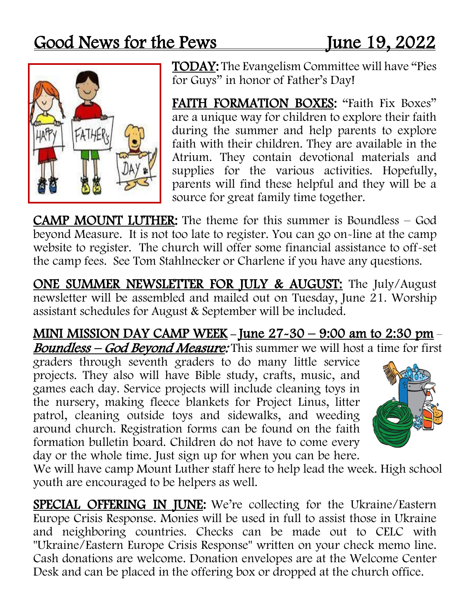## Good News for the Pews June 19, 2022



TODAY: The Evangelism Committee will have "Pies for Guys" in honor of Father's Day!

FAITH FORMATION BOXES: "Faith Fix Boxes" are a unique way for children to explore their faith during the summer and help parents to explore faith with their children. They are available in the Atrium. They contain devotional materials and supplies for the various activities. Hopefully, parents will find these helpful and they will be a source for great family time together.

CAMP MOUNT LUTHER: The theme for this summer is Boundless – God beyond Measure. It is not too late to register. You can go on-line at the camp website to register. The church will offer some financial assistance to off-set the camp fees. See Tom Stahlnecker or Charlene if you have any questions.

ONE SUMMER NEWSLETTER FOR JULY & AUGUST: The July/August newsletter will be assembled and mailed out on Tuesday, June 21. Worship assistant schedules for August & September will be included.

MINI MISSION DAY CAMP WEEK – June  $27-30 - 9:00$  am to 2:30 pm – Boundless – God Beyond Measure: This summer we will host a time for first

graders through seventh graders to do many little service projects. They also will have Bible study, crafts, music, and games each day. Service projects will include cleaning toys in the nursery, making fleece blankets for Project Linus, litter patrol, cleaning outside toys and sidewalks, and weeding around church. Registration forms can be found on the faith formation bulletin board. Children do not have to come every day or the whole time. Just sign up for when you can be here.



We will have camp Mount Luther staff here to help lead the week. High school youth are encouraged to be helpers as well.

SPECIAL OFFERING IN JUNE: We're collecting for the Ukraine/Eastern Europe Crisis Response. Monies will be used in full to assist those in Ukraine and neighboring countries. Checks can be made out to CELC with "Ukraine/Eastern Europe Crisis Response" written on your check memo line. Cash donations are welcome. Donation envelopes are at the Welcome Center Desk and can be placed in the offering box or dropped at the church office.